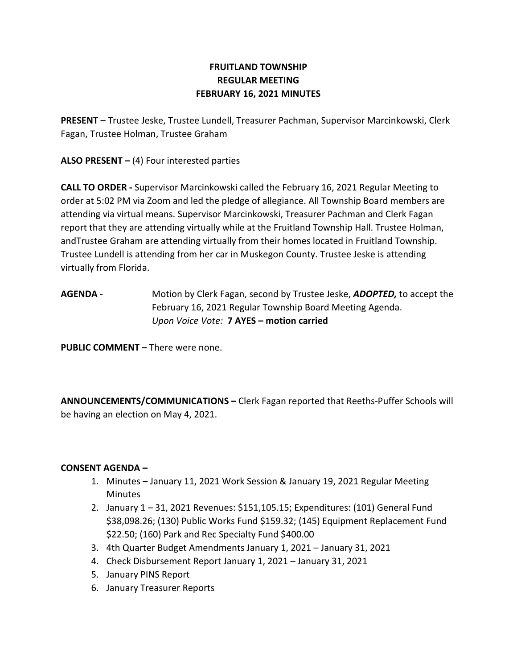# FRUITLAND TOWNSHIP REGULAR MEETING FEBRUARY 16, 2021 MINUTES

PRESENT – Trustee Jeske, Trustee Lundell, Treasurer Pachman, Supervisor Marcinkowski, Clerk Fagan, Trustee Holman, Trustee Graham

ALSO PRESENT  $-$  (4) Four interested parties

CALL TO ORDER - Supervisor Marcinkowski called the February 16, 2021 Regular Meeting to order at 5:02 PM via Zoom and led the pledge of allegiance. All Township Board members are attending via virtual means. Supervisor Marcinkowski, Treasurer Pachman and Clerk Fagan report that they are attending virtually while at the Fruitland Township Hall. Trustee Holman, andTrustee Graham are attending virtually from their homes located in Fruitland Township. Trustee Lundell is attending from her car in Muskegon County. Trustee Jeske is attending virtually from Florida.

AGENDA - Motion by Clerk Fagan, second by Trustee Jeske, ADOPTED, to accept the February 16, 2021 Regular Township Board Meeting Agenda. Upon Voice Vote: 7 AYES – motion carried

PUBLIC COMMENT – There were none.

ANNOUNCEMENTS/COMMUNICATIONS – Clerk Fagan reported that Reeths-Puffer Schools will be having an election on May 4, 2021.

# CONSENT AGENDA –

- 1. Minutes January 11, 2021 Work Session & January 19, 2021 Regular Meeting Minutes
- 2. January 1 31, 2021 Revenues: \$151,105.15; Expenditures: (101) General Fund \$38,098.26; (130) Public Works Fund \$159.32; (145) Equipment Replacement Fund \$22.50; (160) Park and Rec Specialty Fund \$400.00
- 3. 4th Quarter Budget Amendments January 1, 2021 January 31, 2021
- 4. Check Disbursement Report January 1, 2021 January 31, 2021
- 5. January PINS Report
- 6. January Treasurer Reports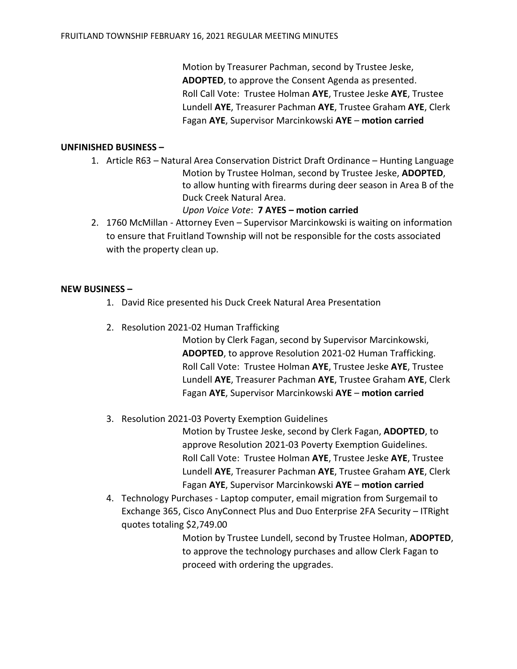Motion by Treasurer Pachman, second by Trustee Jeske, ADOPTED, to approve the Consent Agenda as presented. Roll Call Vote: Trustee Holman AYE, Trustee Jeske AYE, Trustee Lundell AYE, Treasurer Pachman AYE, Trustee Graham AYE, Clerk Fagan AYE, Supervisor Marcinkowski AYE – motion carried

## UNFINISHED BUSINESS –

1. Article R63 – Natural Area Conservation District Draft Ordinance – Hunting Language Motion by Trustee Holman, second by Trustee Jeske, ADOPTED, to allow hunting with firearms during deer season in Area B of the Duck Creek Natural Area.

## Upon Voice Vote: 7 AYES – motion carried

2. 1760 McMillan - Attorney Even – Supervisor Marcinkowski is waiting on information to ensure that Fruitland Township will not be responsible for the costs associated with the property clean up.

#### NEW BUSINESS –

- 1. David Rice presented his Duck Creek Natural Area Presentation
- 2. Resolution 2021-02 Human Trafficking

Motion by Clerk Fagan, second by Supervisor Marcinkowski, ADOPTED, to approve Resolution 2021-02 Human Trafficking. Roll Call Vote: Trustee Holman AYE, Trustee Jeske AYE, Trustee Lundell AYE, Treasurer Pachman AYE, Trustee Graham AYE, Clerk Fagan AYE, Supervisor Marcinkowski AYE – motion carried

3. Resolution 2021-03 Poverty Exemption Guidelines

Motion by Trustee Jeske, second by Clerk Fagan, ADOPTED, to approve Resolution 2021-03 Poverty Exemption Guidelines. Roll Call Vote: Trustee Holman AYE, Trustee Jeske AYE, Trustee Lundell AYE, Treasurer Pachman AYE, Trustee Graham AYE, Clerk Fagan AYE, Supervisor Marcinkowski AYE – motion carried

4. Technology Purchases - Laptop computer, email migration from Surgemail to Exchange 365, Cisco AnyConnect Plus and Duo Enterprise 2FA Security – ITRight quotes totaling \$2,749.00

> Motion by Trustee Lundell, second by Trustee Holman, ADOPTED, to approve the technology purchases and allow Clerk Fagan to proceed with ordering the upgrades.